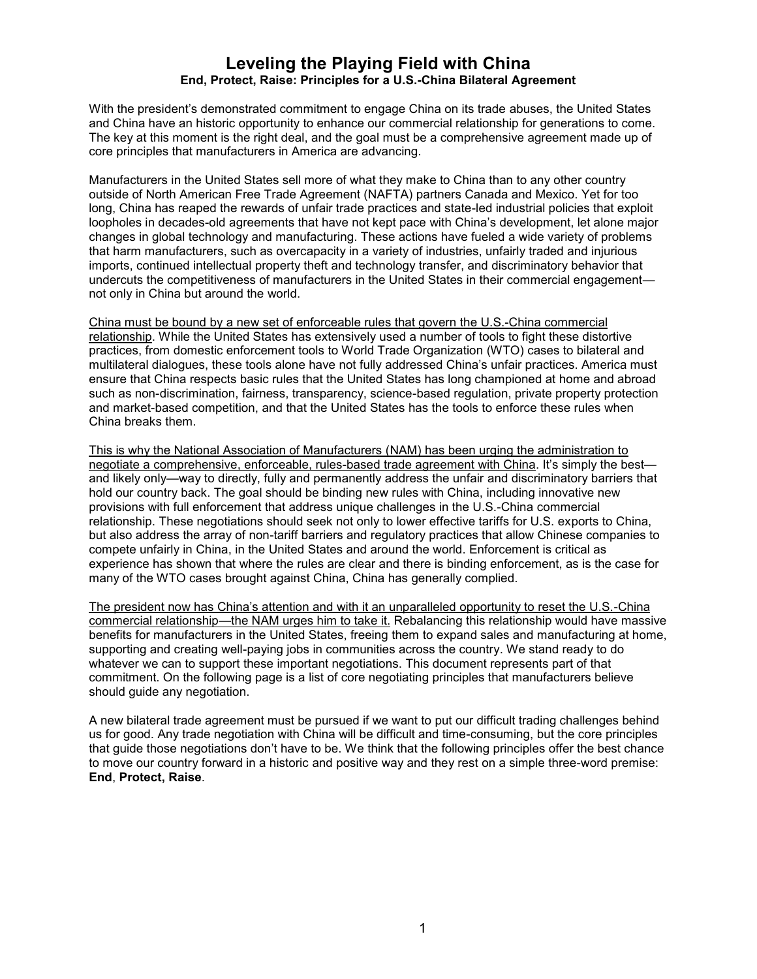# **Leveling the Playing Field with China End, Protect, Raise: Principles for a U.S.-China Bilateral Agreement**

With the president's demonstrated commitment to engage China on its trade abuses, the United States and China have an historic opportunity to enhance our commercial relationship for generations to come. The key at this moment is the right deal, and the goal must be a comprehensive agreement made up of core principles that manufacturers in America are advancing.

Manufacturers in the United States sell more of what they make to China than to any other country outside of North American Free Trade Agreement (NAFTA) partners Canada and Mexico. Yet for too long, China has reaped the rewards of unfair trade practices and state-led industrial policies that exploit loopholes in decades-old agreements that have not kept pace with China's development, let alone major changes in global technology and manufacturing. These actions have fueled a wide variety of problems that harm manufacturers, such as overcapacity in a variety of industries, unfairly traded and injurious imports, continued intellectual property theft and technology transfer, and discriminatory behavior that undercuts the competitiveness of manufacturers in the United States in their commercial engagement not only in China but around the world.

China must be bound by a new set of enforceable rules that govern the U.S.-China commercial relationship. While the United States has extensively used a number of tools to fight these distortive practices, from domestic enforcement tools to World Trade Organization (WTO) cases to bilateral and multilateral dialogues, these tools alone have not fully addressed China's unfair practices. America must ensure that China respects basic rules that the United States has long championed at home and abroad such as non-discrimination, fairness, transparency, science-based regulation, private property protection and market-based competition, and that the United States has the tools to enforce these rules when China breaks them.

This is why the National Association of Manufacturers (NAM) has been urging the administration to negotiate a comprehensive, enforceable, rules-based trade agreement with China. It's simply the best and likely only—way to directly, fully and permanently address the unfair and discriminatory barriers that hold our country back. The goal should be binding new rules with China, including innovative new provisions with full enforcement that address unique challenges in the U.S.-China commercial relationship. These negotiations should seek not only to lower effective tariffs for U.S. exports to China, but also address the array of non-tariff barriers and regulatory practices that allow Chinese companies to compete unfairly in China, in the United States and around the world. Enforcement is critical as experience has shown that where the rules are clear and there is binding enforcement, as is the case for many of the WTO cases brought against China, China has generally complied.

The president now has China's attention and with it an unparalleled opportunity to reset the U.S.-China commercial relationship—the NAM urges him to take it. Rebalancing this relationship would have massive benefits for manufacturers in the United States, freeing them to expand sales and manufacturing at home, supporting and creating well-paying jobs in communities across the country. We stand ready to do whatever we can to support these important negotiations. This document represents part of that commitment. On the following page is a list of core negotiating principles that manufacturers believe should guide any negotiation.

A new bilateral trade agreement must be pursued if we want to put our difficult trading challenges behind us for good. Any trade negotiation with China will be difficult and time-consuming, but the core principles that guide those negotiations don't have to be. We think that the following principles offer the best chance to move our country forward in a historic and positive way and they rest on a simple three-word premise: **End**, **Protect, Raise**.